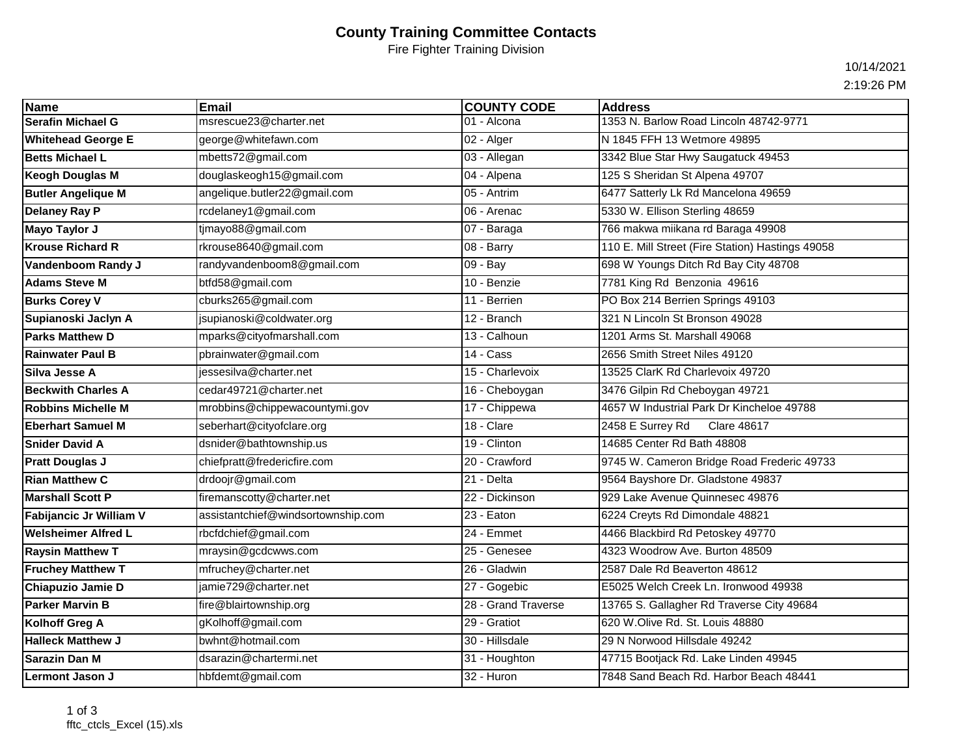## **County Training Committee Contacts**

Fire Fighter Training Division

10/14/2021

2:19:26 PM

| Name                       | <b>Email</b>                       | <b>COUNTY CODE</b>  | <b>Address</b>                                   |
|----------------------------|------------------------------------|---------------------|--------------------------------------------------|
| <b>Serafin Michael G</b>   | msrescue23@charter.net             | 01 - Alcona         | 1353 N. Barlow Road Lincoln 48742-9771           |
| <b>Whitehead George E</b>  | george@whitefawn.com               | 02 - Alger          | N 1845 FFH 13 Wetmore 49895                      |
| <b>Betts Michael L</b>     | mbetts72@gmail.com                 | 03 - Allegan        | 3342 Blue Star Hwy Saugatuck 49453               |
| Keogh Douglas M            | douglaskeogh15@gmail.com           | 04 - Alpena         | 125 S Sheridan St Alpena 49707                   |
| <b>Butler Angelique M</b>  | angelique.butler22@gmail.com       | 05 - Antrim         | 6477 Satterly Lk Rd Mancelona 49659              |
| Delaney Ray P              | rcdelaney1@gmail.com               | 06 - Arenac         | 5330 W. Ellison Sterling 48659                   |
| Mayo Taylor J              | tjmayo88@gmail.com                 | 07 - Baraga         | 766 makwa miikana rd Baraga 49908                |
| Krouse Richard R           | rkrouse8640@gmail.com              | 08 - Barry          | 110 E. Mill Street (Fire Station) Hastings 49058 |
| Vandenboom Randy J         | randyvandenboom8@gmail.com         | 09 - Bay            | 698 W Youngs Ditch Rd Bay City 48708             |
| Adams Steve M              | btfd58@gmail.com                   | 10 - Benzie         | 7781 King Rd Benzonia 49616                      |
| <b>Burks Corey V</b>       | cburks265@gmail.com                | 11 - Berrien        | PO Box 214 Berrien Springs 49103                 |
| Supianoski Jaclyn A        | jsupianoski@coldwater.org          | 12 - Branch         | 321 N Lincoln St Bronson 49028                   |
| <b>Parks Matthew D</b>     | mparks@cityofmarshall.com          | 13 - Calhoun        | 1201 Arms St. Marshall 49068                     |
| Rainwater Paul B           | pbrainwater@gmail.com              | 14 - Cass           | 2656 Smith Street Niles 49120                    |
| <b>Silva Jesse A</b>       | jessesilva@charter.net             | 15 - Charlevoix     | 13525 ClarK Rd Charlevoix 49720                  |
| <b>Beckwith Charles A</b>  | cedar49721@charter.net             | 16 - Cheboygan      | 3476 Gilpin Rd Cheboygan 49721                   |
| <b>Robbins Michelle M</b>  | mrobbins@chippewacountymi.gov      | 17 - Chippewa       | 4657 W Industrial Park Dr Kincheloe 49788        |
| <b>Eberhart Samuel M</b>   | seberhart@cityofclare.org          | 18 - Clare          | 2458 E Surrey Rd<br><b>Clare 48617</b>           |
| <b>Snider David A</b>      | dsnider@bathtownship.us            | 19 - Clinton        | 14685 Center Rd Bath 48808                       |
| <b>Pratt Douglas J</b>     | chiefpratt@fredericfire.com        | 20 - Crawford       | 9745 W. Cameron Bridge Road Frederic 49733       |
| <b>Rian Matthew C</b>      | drdoojr@gmail.com                  | 21 - Delta          | 9564 Bayshore Dr. Gladstone 49837                |
| <b>Marshall Scott P</b>    | firemanscotty@charter.net          | 22 - Dickinson      | 929 Lake Avenue Quinnesec 49876                  |
| Fabijancic Jr William V    | assistantchief@windsortownship.com | 23 - Eaton          | 6224 Creyts Rd Dimondale 48821                   |
| <b>Welsheimer Alfred L</b> | rbcfdchief@gmail.com               | 24 - Emmet          | 4466 Blackbird Rd Petoskey 49770                 |
| <b>Raysin Matthew T</b>    | mraysin@gcdcwws.com                | 25 - Genesee        | 4323 Woodrow Ave. Burton 48509                   |
| <b>Fruchey Matthew T</b>   | mfruchey@charter.net               | 26 - Gladwin        | 2587 Dale Rd Beaverton 48612                     |
| Chiapuzio Jamie D          | jamie729@charter.net               | 27 - Gogebic        | E5025 Welch Creek Ln. Ironwood 49938             |
| <b>Parker Marvin B</b>     | fire@blairtownship.org             | 28 - Grand Traverse | 13765 S. Gallagher Rd Traverse City 49684        |
| Kolhoff Greg A             | gKolhoff@gmail.com                 | 29 - Gratiot        | 620 W.Olive Rd. St. Louis 48880                  |
| <b>Halleck Matthew J</b>   | bwhnt@hotmail.com                  | 30 - Hillsdale      | 29 N Norwood Hillsdale 49242                     |
| <b>Sarazin Dan M</b>       | dsarazin@chartermi.net             | 31 - Houghton       | 47715 Bootjack Rd. Lake Linden 49945             |
| Lermont Jason J            | hbfdemt@gmail.com                  | 32 - Huron          | 7848 Sand Beach Rd. Harbor Beach 48441           |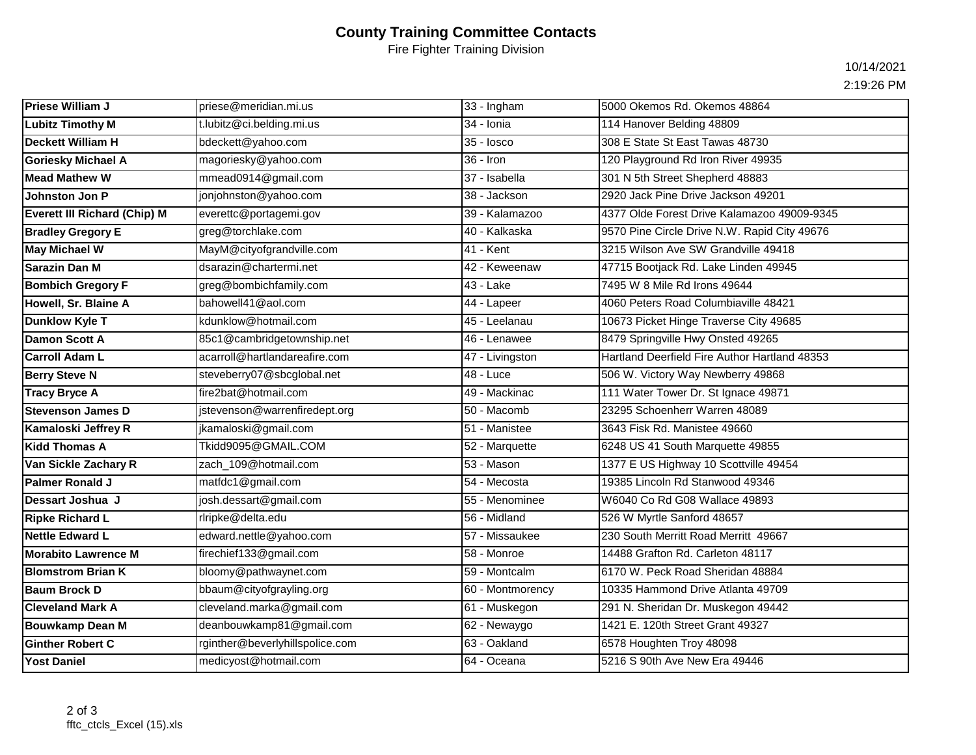## **County Training Committee Contacts**

Fire Fighter Training Division

10/14/2021

2:19:26 PM

| <b>Priese William J</b>             | priese@meridian.mi.us           | 33 - Ingham      | 5000 Okemos Rd. Okemos 48864                  |
|-------------------------------------|---------------------------------|------------------|-----------------------------------------------|
| <b>Lubitz Timothy M</b>             | t.lubitz@ci.belding.mi.us       | 34 - Ionia       | 114 Hanover Belding 48809                     |
| <b>Deckett William H</b>            | bdeckett@yahoo.com              | 35 - losco       | 308 E State St East Tawas 48730               |
| <b>Goriesky Michael A</b>           | magoriesky@yahoo.com            | $36 -$ Iron      | 120 Playground Rd Iron River 49935            |
| <b>Mead Mathew W</b>                | mmead0914@gmail.com             | 37 - Isabella    | 301 N 5th Street Shepherd 48883               |
| Johnston Jon P                      | jonjohnston@yahoo.com           | 38 - Jackson     | 2920 Jack Pine Drive Jackson 49201            |
| <b>Everett III Richard (Chip) M</b> | everettc@portagemi.gov          | 39 - Kalamazoo   | 4377 Olde Forest Drive Kalamazoo 49009-9345   |
| <b>Bradley Gregory E</b>            | greg@torchlake.com              | 40 - Kalkaska    | 9570 Pine Circle Drive N.W. Rapid City 49676  |
| <b>May Michael W</b>                | MayM@cityofgrandville.com       | 41 - Kent        | 3215 Wilson Ave SW Grandville 49418           |
| Sarazin Dan M                       | dsarazin@chartermi.net          | 42 - Keweenaw    | 47715 Bootjack Rd. Lake Linden 49945          |
| <b>Bombich Gregory F</b>            | greg@bombichfamily.com          | 43 - Lake        | 7495 W 8 Mile Rd Irons 49644                  |
| Howell, Sr. Blaine A                | bahowell41@aol.com              | 44 - Lapeer      | 4060 Peters Road Columbiaville 48421          |
| Dunklow Kyle T                      | kdunklow@hotmail.com            | 45 - Leelanau    | 10673 Picket Hinge Traverse City 49685        |
| Damon Scott A                       | 85c1@cambridgetownship.net      | 46 - Lenawee     | 8479 Springville Hwy Onsted 49265             |
| <b>Carroll Adam L</b>               | acarroll@hartlandareafire.com   | 47 - Livingston  | Hartland Deerfield Fire Author Hartland 48353 |
| <b>Berry Steve N</b>                | steveberry07@sbcglobal.net      | 48 - Luce        | 506 W. Victory Way Newberry 49868             |
| <b>Tracy Bryce A</b>                | fire2bat@hotmail.com            | 49 - Mackinac    | 111 Water Tower Dr. St Ignace 49871           |
| <b>Stevenson James D</b>            | jstevenson@warrenfiredept.org   | 50 - Macomb      | 23295 Schoenherr Warren 48089                 |
| Kamaloski Jeffrey R                 | jkamaloski@gmail.com            | 51 - Manistee    | 3643 Fisk Rd. Manistee 49660                  |
| <b>Kidd Thomas A</b>                | Tkidd9095@GMAIL.COM             | 52 - Marquette   | 6248 US 41 South Marquette 49855              |
| Van Sickle Zachary R                | zach_109@hotmail.com            | 53 - Mason       | 1377 E US Highway 10 Scottville 49454         |
| <b>Palmer Ronald J</b>              | matfdc1@gmail.com               | 54 - Mecosta     | 19385 Lincoln Rd Stanwood 49346               |
| Dessart Joshua J                    | josh.dessart@gmail.com          | 55 - Menominee   | W6040 Co Rd G08 Wallace 49893                 |
| <b>Ripke Richard L</b>              | rlripke@delta.edu               | 56 - Midland     | 526 W Myrtle Sanford 48657                    |
| <b>Nettle Edward L</b>              | edward.nettle@yahoo.com         | 57 - Missaukee   | 230 South Merritt Road Merritt 49667          |
| <b>Morabito Lawrence M</b>          | firechief133@gmail.com          | 58 - Monroe      | 14488 Grafton Rd. Carleton 48117              |
| <b>Blomstrom Brian K</b>            | bloomy@pathwaynet.com           | 59 - Montcalm    | 6170 W. Peck Road Sheridan 48884              |
| <b>Baum Brock D</b>                 | bbaum@cityofgrayling.org        | 60 - Montmorency | 10335 Hammond Drive Atlanta 49709             |
| <b>Cleveland Mark A</b>             | cleveland.marka@gmail.com       | 61 - Muskegon    | 291 N. Sheridan Dr. Muskegon 49442            |
| <b>Bouwkamp Dean M</b>              | deanbouwkamp81@gmail.com        | 62 - Newaygo     | 1421 E. 120th Street Grant 49327              |
| <b>Ginther Robert C</b>             | rginther@beverlyhillspolice.com | 63 - Oakland     | 6578 Houghten Troy 48098                      |
| <b>Yost Daniel</b>                  | medicyost@hotmail.com           | 64 - Oceana      | 5216 S 90th Ave New Era 49446                 |